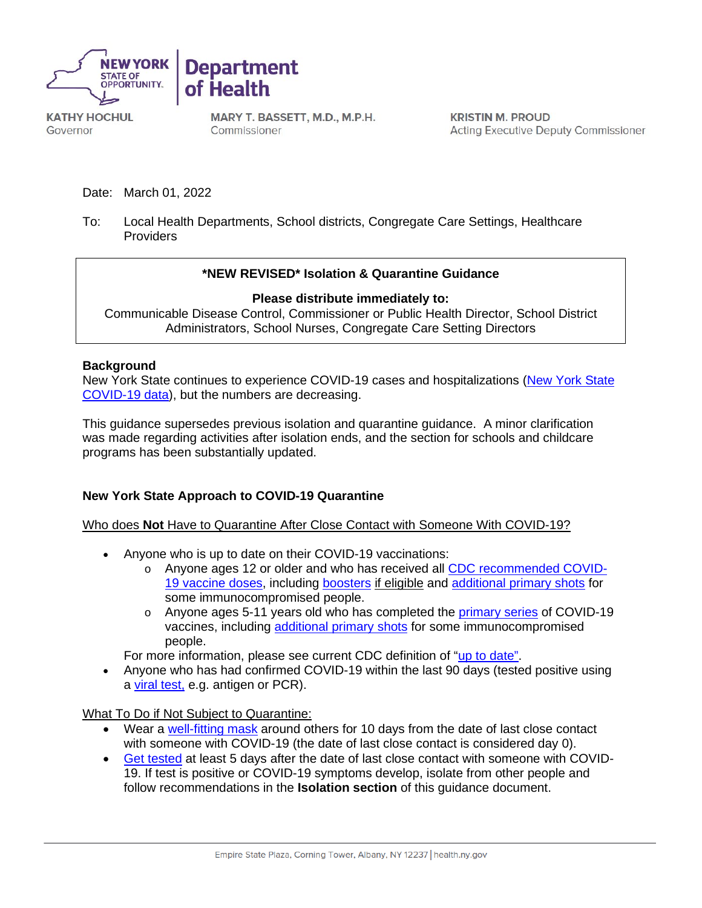



**KATHY HOCHUL** Governor

MARY T. BASSETT, M.D., M.P.H. Commissioner

**KRISTIN M. PROUD Acting Executive Deputy Commissioner** 

Date: March 01, 2022

To: Local Health Departments, School districts, Congregate Care Settings, Healthcare Providers

## **\*NEW REVISED\* Isolation & Quarantine Guidance**

### **Please distribute immediately to:**

Communicable Disease Control, Commissioner or Public Health Director, School District Administrators, School Nurses, Congregate Care Setting Directors

#### **Background**

New York State continues to experience COVID-19 cases and hospitalizations [\(New York State](https://coronavirus.health.ny.gov/covid-19-data-new-york)  [COVID-19 data\)](https://coronavirus.health.ny.gov/covid-19-data-new-york), but the numbers are decreasing.

This guidance supersedes previous isolation and quarantine guidance. A minor clarification was made regarding activities after isolation ends, and the section for schools and childcare programs has been substantially updated.

## **New York State Approach to COVID-19 Quarantine**

Who does **Not** Have to Quarantine After Close Contact with Someone With COVID-19?

- Anyone who is up to date on their COVID-19 vaccinations:
	- o Anyone ages 12 or older and who has received all [CDC recommended COVID-](https://www.cdc.gov/coronavirus/2019-ncov/vaccines/booster-shot.html)[19 vaccine doses,](https://www.cdc.gov/coronavirus/2019-ncov/vaccines/booster-shot.html) including [boosters](https://www.cdc.gov/coronavirus/2019-ncov/vaccines/booster-shot.html) if eligible and [additional primary shots](https://www.cdc.gov/coronavirus/2019-ncov/vaccines/recommendations/immuno.html) for some immunocompromised people.
	- $\circ$  Anyone ages 5-11 years old who has completed the [primary series](https://www.cdc.gov/vaccines/covid-19/clinical-considerations/covid-19-vaccines-us.html?CDC_AA_refVal=https%3A%2F%2Fwww.cdc.gov%2Fvaccines%2Fcovid-19%2Finfo-by-product%2Fclinical-considerations.html#children) of COVID-19 vaccines, including [additional primary shots](https://www.cdc.gov/coronavirus/2019-ncov/vaccines/recommendations/immuno.html) for some immunocompromised people.

For more information, please see current CDC definition of ["up to date"](https://www.cdc.gov/coronavirus/2019-ncov/vaccines/stay-up-to-date.html).

• Anyone who has had confirmed COVID-19 within the last 90 days (tested positive using a [viral test,](https://www.cdc.gov/coronavirus/2019-ncov/symptoms-testing/testing.html) e.g. antigen or PCR).

What To Do if Not Subject to Quarantine:

- Wear a [well-fitting mask](https://www.cdc.gov/coronavirus/2019-ncov/your-health/effective-masks.html) around others for 10 days from the date of last close contact with someone with COVID-19 (the date of last close contact is considered day 0).
- [Get tested](https://www.cdc.gov/coronavirus/2019-ncov/testing/diagnostic-testing.html) at least 5 days after the date of last close contact with someone with COVID-19. If test is positive or COVID-19 symptoms develop, isolate from other people and follow recommendations in the **Isolation section** of this guidance document.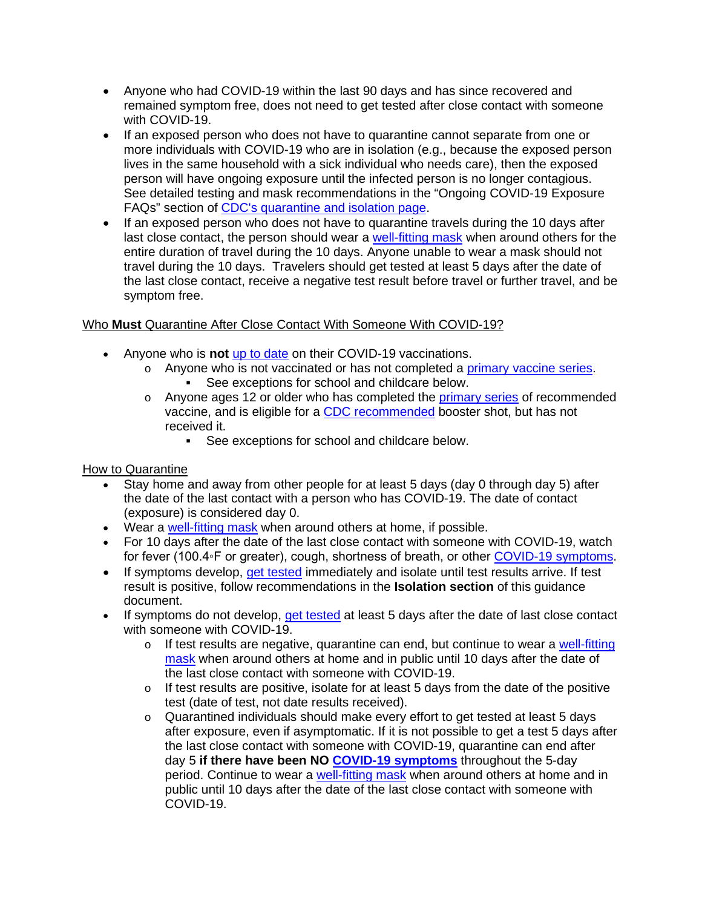- Anyone who had COVID-19 within the last 90 days and has since recovered and remained symptom free, does not need to get tested after close contact with someone with COVID-19.
- If an exposed person who does not have to quarantine cannot separate from one or more individuals with COVID-19 who are in isolation (e.g., because the exposed person lives in the same household with a sick individual who needs care), then the exposed person will have ongoing exposure until the infected person is no longer contagious. See detailed testing and mask recommendations in the "Ongoing COVID-19 Exposure FAQs" section of [CDC's quarantine and isolation page.](https://www.cdc.gov/coronavirus/2019-ncov/your-health/quarantine-isolation.html)
- If an exposed person who does not have to quarantine travels during the 10 days after last close contact, the person should wear a [well-fitting mask](https://www.cdc.gov/coronavirus/2019-ncov/your-health/effective-masks.html) when around others for the entire duration of travel during the 10 days. Anyone unable to wear a mask should not travel during the 10 days. Travelers should get tested at least 5 days after the date of the last close contact, receive a negative test result before travel or further travel, and be symptom free.

# Who **Must** Quarantine After Close Contact With Someone With COVID-19?

- Anyone who is **not** [up to date](https://www.cdc.gov/coronavirus/2019-ncov/vaccines/stay-up-to-date.html) on their COVID-19 vaccinations.
	- o Anyone who is not vaccinated or has not completed a [primary vaccine series.](https://www.cdc.gov/vaccines/covid-19/clinical-considerations/covid-19-vaccines-us.html?CDC_AA_refVal=https%3A%2F%2Fwww.cdc.gov%2Fvaccines%2Fcovid-19%2Finfo-by-product%2Fclinical-considerations.html) See exceptions for school and childcare below.
	- $\circ$  Anyone ages 12 or older who has completed the [primary series](https://www.cdc.gov/vaccines/covid-19/clinical-considerations/covid-19-vaccines-us.html?CDC_AA_refVal=https%3A%2F%2Fwww.cdc.gov%2Fvaccines%2Fcovid-19%2Finfo-by-product%2Fclinical-considerations.html) of recommended vaccine, and is eligible for a [CDC recommended](https://www.cdc.gov/coronavirus/2019-ncov/vaccines/booster-shot.html) booster shot, but has not received it.
		- See exceptions for school and childcare below.

# How to Quarantine

- Stay home and away from other people for at least 5 days (day 0 through day 5) after the date of the last contact with a person who has COVID-19. The date of contact (exposure) is considered day 0.
- Wear a [well-fitting mask](https://www.cdc.gov/coronavirus/2019-ncov/your-health/effective-masks.html) when around others at home, if possible.
- For 10 days after the date of the last close contact with someone with COVID-19, watch for fever (100.4◦F or greater), cough, shortness of breath, or other [COVID-19 symptoms.](https://www.cdc.gov/coronavirus/2019-ncov/symptoms-testing/symptoms.html)
- If symptoms develop, [get tested](https://www.cdc.gov/coronavirus/2019-ncov/testing/diagnostic-testing.html) immediately and isolate until test results arrive. If test result is positive, follow recommendations in the **Isolation section** of this guidance document.
- If symptoms do not develop, get [tested](https://www.cdc.gov/coronavirus/2019-ncov/testing/diagnostic-testing.html) at least 5 days after the date of last close contact with someone with COVID-19.
	- o If test results are negative, quarantine can end, but continue to wear a well-fitting [mask](https://www.cdc.gov/coronavirus/2019-ncov/your-health/effective-masks.html) when around others at home and in public until 10 days after the date of the last close contact with someone with COVID-19.
	- $\circ$  If test results are positive, isolate for at least 5 days from the date of the positive test (date of test, not date results received).
	- $\circ$  Quarantined individuals should make every effort to get tested at least 5 days after exposure, even if asymptomatic. If it is not possible to get a test 5 days after the last close contact with someone with COVID-19, quarantine can end after day 5 **if there have been NO [COVID-19 symptoms](https://www.cdc.gov/coronavirus/2019-ncov/symptoms-testing/symptoms.html)** throughout the 5-day period. Continue to wear a [well-fitting mask](https://www.cdc.gov/coronavirus/2019-ncov/your-health/effective-masks.html) when around others at home and in public until 10 days after the date of the last close contact with someone with COVID-19.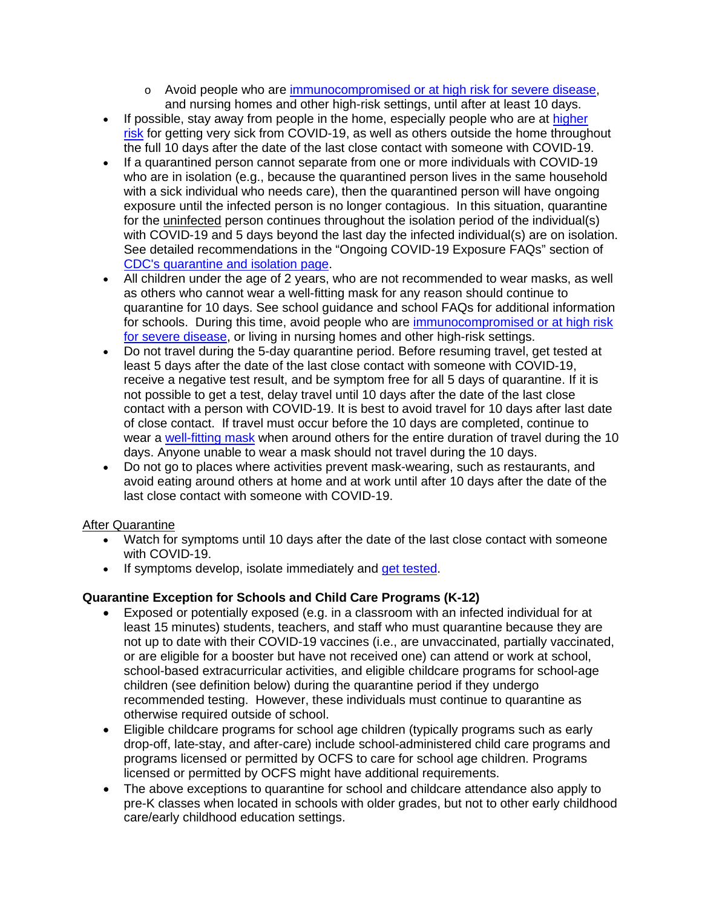- o Avoid people who are [immunocompromised or at high risk for severe disease,](https://www.cdc.gov/coronavirus/2019-ncov/need-extra-precautions/people-with-medical-conditions.html) and nursing homes and other high-risk settings, until after at least 10 days.
- If possible, stay away from people in the home, especially people who are at higher [risk](https://www.cdc.gov/coronavirus/2019-ncov/need-extra-precautions/index.html) for getting very sick from COVID-19, as well as others outside the home throughout the full 10 days after the date of the last close contact with someone with COVID-19.
- If a quarantined person cannot separate from one or more individuals with COVID-19 who are in isolation (e.g., because the quarantined person lives in the same household with a sick individual who needs care), then the quarantined person will have ongoing exposure until the infected person is no longer contagious. In this situation, quarantine for the uninfected person continues throughout the isolation period of the individual(s) with COVID-19 and 5 days beyond the last day the infected individual(s) are on isolation. See detailed recommendations in the "Ongoing COVID-19 Exposure FAQs" section of [CDC's quarantine and isolation page.](https://www.cdc.gov/coronavirus/2019-ncov/your-health/quarantine-isolation.html)
- All children under the age of 2 years, who are not recommended to wear masks, as well as others who cannot wear a well-fitting mask for any reason should continue to quarantine for 10 days. See school guidance and school FAQs for additional information for schools. During this time, avoid people who are [immunocompromised or at high risk](https://www.cdc.gov/coronavirus/2019-ncov/need-extra-precautions/people-with-medical-conditions.html)  [for severe disease,](https://www.cdc.gov/coronavirus/2019-ncov/need-extra-precautions/people-with-medical-conditions.html) or living in nursing homes and other high-risk settings.
- Do not travel during the 5-day quarantine period. Before resuming travel, get tested at least 5 days after the date of the last close contact with someone with COVID-19, receive a negative test result, and be symptom free for all 5 days of quarantine. If it is not possible to get a test, delay travel until 10 days after the date of the last close contact with a person with COVID-19. It is best to avoid travel for 10 days after last date of close contact. If travel must occur before the 10 days are completed, continue to wear a [well-fitting mask](https://www.cdc.gov/coronavirus/2019-ncov/your-health/effective-masks.html) when around others for the entire duration of travel during the 10 days. Anyone unable to wear a mask should not travel during the 10 days.
- Do not go to places where activities prevent mask-wearing, such as restaurants, and avoid eating around others at home and at work until after 10 days after the date of the last close contact with someone with COVID-19.

# After Quarantine

- Watch for symptoms until 10 days after the date of the last close contact with someone with COVID-19.
- If symptoms develop, isolate immediately and [get tested.](https://www.cdc.gov/coronavirus/2019-ncov/testing/diagnostic-testing.html)

# **Quarantine Exception for Schools and Child Care Programs (K-12)**

- Exposed or potentially exposed (e.g. in a classroom with an infected individual for at least 15 minutes) students, teachers, and staff who must quarantine because they are not up to date with their COVID-19 vaccines (i.e., are unvaccinated, partially vaccinated, or are eligible for a booster but have not received one) can attend or work at school, school-based extracurricular activities, and eligible childcare programs for school-age children (see definition below) during the quarantine period if they undergo recommended testing. However, these individuals must continue to quarantine as otherwise required outside of school.
- Eligible childcare programs for school age children (typically programs such as early drop-off, late-stay, and after-care) include school-administered child care programs and programs licensed or permitted by OCFS to care for school age children. Programs licensed or permitted by OCFS might have additional requirements.
- The above exceptions to quarantine for school and childcare attendance also apply to pre-K classes when located in schools with older grades, but not to other early childhood care/early childhood education settings.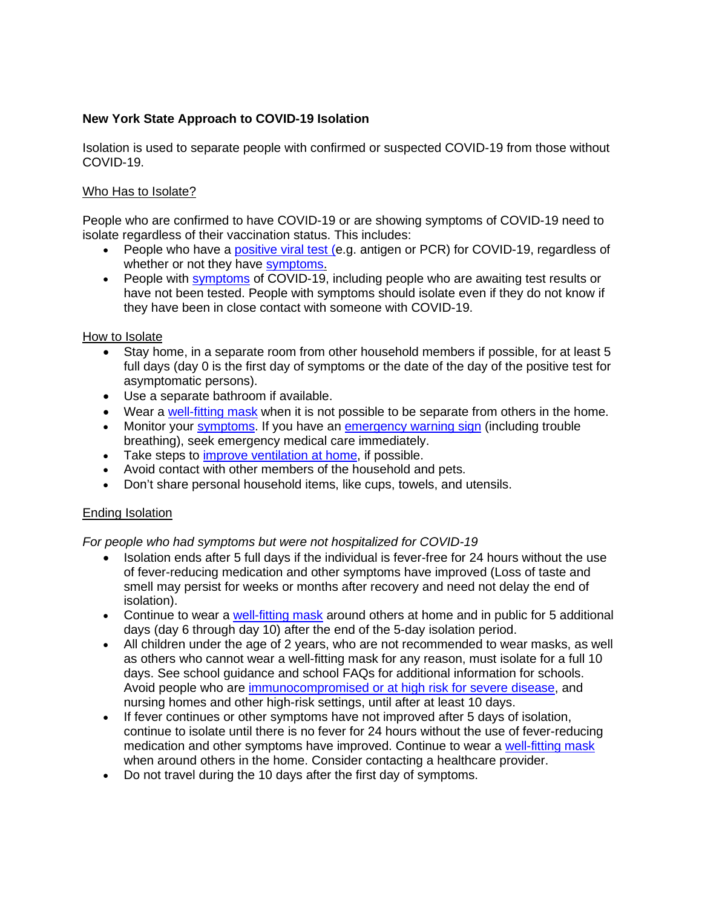## **New York State Approach to COVID-19 Isolation**

Isolation is used to separate people with confirmed or suspected COVID-19 from those without COVID-19.

## Who Has to Isolate?

People who are confirmed to have COVID-19 or are showing symptoms of COVID-19 need to isolate regardless of their vaccination status. This includes:

- People who have a [positive viral test](https://www.cdc.gov/coronavirus/2019-ncov/testing/diagnostic-testing.html) (e.g. antigen or PCR) for COVID-19, regardless of whether or not they have [symptoms.](https://www.cdc.gov/coronavirus/2019-ncov/symptoms-testing/symptoms.html)
- People with [symptoms](https://www.cdc.gov/coronavirus/2019-ncov/symptoms-testing/symptoms.html) of COVID-19, including people who are awaiting test results or have not been tested. People with symptoms should isolate even if they do not know if they have been in close contact with someone with COVID-19.

### How to Isolate

- Stay home, in a separate room from other household members if possible, for at least 5 full days (day 0 is the first day of symptoms or the date of the day of the positive test for asymptomatic persons).
- Use a separate bathroom if available.
- Wear a [well-fitting mask](https://www.cdc.gov/coronavirus/2019-ncov/your-health/effective-masks.html) when it is not possible to be separate from others in the home.
- Monitor your [symptoms.](https://www.cdc.gov/coronavirus/2019-ncov/symptoms-testing/symptoms.html) If you have an [emergency warning sign](https://www.cdc.gov/coronavirus/2019-ncov/symptoms-testing/symptoms.html#emergency-medical-attention) (including trouble breathing), seek emergency medical care immediately.
- Take steps to *improve ventilation at home*, if possible.
- Avoid contact with other members of the household and pets.
- Don't share personal household items, like cups, towels, and utensils.

## Ending Isolation

## *For people who had symptoms but were not hospitalized for COVID-19*

- Isolation ends after 5 full days if the individual is fever-free for 24 hours without the use of fever-reducing medication and other symptoms have improved (Loss of taste and smell may persist for weeks or months after recovery and need not delay the end of isolation).
- Continue to wear a [well-fitting mask](https://www.cdc.gov/coronavirus/2019-ncov/your-health/effective-masks.html) around others at home and in public for 5 additional days (day 6 through day 10) after the end of the 5-day isolation period.
- All children under the age of 2 years, who are not recommended to wear masks, as well as others who cannot wear a well-fitting mask for any reason, must isolate for a full 10 days. See school guidance and school FAQs for additional information for schools. Avoid people who are [immunocompromised or at high risk for severe disease,](https://www.cdc.gov/coronavirus/2019-ncov/need-extra-precautions/people-with-medical-conditions.html) and nursing homes and other high-risk settings, until after at least 10 days.
- If fever continues or other symptoms have not improved after 5 days of isolation, continue to isolate until there is no fever for 24 hours without the use of fever-reducing medication and other symptoms have improved. Continue to wear a [well-fitting mask](https://www.cdc.gov/coronavirus/2019-ncov/your-health/effective-masks.html) when around others in the home. Consider contacting a healthcare provider.
- Do not travel during the 10 days after the first day of symptoms.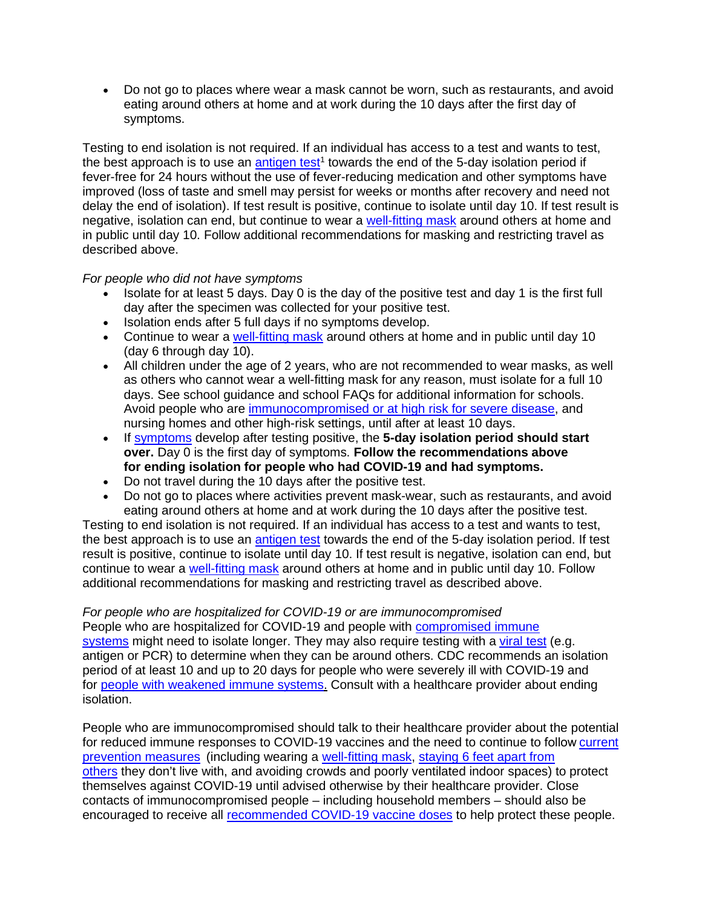• Do not go to places where wear a mask cannot be worn, such as restaurants, and avoid eating around others at home and at work during the 10 days after the first day of symptoms.

Testing to end isolation is not required. If an individual has access to a test and wants to test, the best approach is to use an antigen test<sup>1</sup> towards the end of the 5-day isolation period if fever-free for 24 hours without the use of fever-reducing medication and other symptoms have improved (loss of taste and smell may persist for weeks or months after recovery and need not delay the end of isolation). If test result is positive, continue to isolate until day 10. If test result is negative, isolation can end, but continue to wear a [well-fitting mask](https://www.cdc.gov/coronavirus/2019-ncov/your-health/effective-masks.html) around others at home and in public until day 10. Follow additional recommendations for masking and restricting travel as described above.

### *For people who did not have symptoms*

- Isolate for at least 5 days. Day 0 is the day of the positive test and day 1 is the first full day after the specimen was collected for your positive test.
- Isolation ends after 5 full days if no symptoms develop.
- Continue to wear a [well-fitting mask](https://www.cdc.gov/coronavirus/2019-ncov/your-health/effective-masks.html) around others at home and in public until day 10 (day 6 through day 10).
- All children under the age of 2 years, who are not recommended to wear masks, as well as others who cannot wear a well-fitting mask for any reason, must isolate for a full 10 days. See school guidance and school FAQs for additional information for schools. Avoid people who are [immunocompromised or at high risk for severe disease,](https://www.cdc.gov/coronavirus/2019-ncov/need-extra-precautions/people-with-medical-conditions.html) and nursing homes and other high-risk settings, until after at least 10 days.
- If [symptoms](https://www.cdc.gov/coronavirus/2019-ncov/symptoms-testing/symptoms.html) develop after testing positive, the **5-day isolation period should start over.** Day 0 is the first day of symptoms. **Follow the recommendations above for ending isolation for people who had COVID-19 and had symptoms.**
- Do not travel during the 10 days after the positive test.
- Do not go to places where activities prevent mask-wear, such as restaurants, and avoid eating around others at home and at work during the 10 days after the positive test.

Testing to end isolation is not required. If an individual has access to a test and wants to test, the best approach is to use an [antigen test](https://www.cdc.gov/coronavirus/2019-ncov/hcp/testing-overview.html) towards the end of the 5-day isolation period. If test result is positive, continue to isolate until day 10. If test result is negative, isolation can end, but continue to wear a [well-fitting mask](https://www.cdc.gov/coronavirus/2019-ncov/your-health/effective-masks.html) around others at home and in public until day 10. Follow additional recommendations for masking and restricting travel as described above.

# *For people who are hospitalized for COVID-19 or are immunocompromised*

People who are hospitalized for COVID-19 and people with [compromised immune](https://www.cdc.gov/coronavirus/2019-ncov/need-extra-precautions/people-with-medical-conditions.html) [systems](https://www.cdc.gov/coronavirus/2019-ncov/need-extra-precautions/people-with-medical-conditions.html) might need to isolate longer. They may also require testing with a [viral test](https://www.cdc.gov/coronavirus/2019-ncov/testing/diagnostic-testing.html) (e.g. antigen or PCR) to determine when they can be around others. CDC recommends an isolation period of at least 10 and up to 20 days for people who were severely ill with COVID-19 and for [people with weakened immune systems.](https://www.cdc.gov/coronavirus/2019-ncov/need-extra-precautions/people-with-medical-conditions.html) Consult with a healthcare provider about ending isolation.

People who are immunocompromised should talk to their healthcare provider about the potential for reduced immune responses to COVID-19 vaccines and the need to continue to follow [current](https://www.cdc.gov/coronavirus/2019-ncov/prevent-getting-sick/prevention.html)  [prevention measures](https://www.cdc.gov/coronavirus/2019-ncov/prevent-getting-sick/prevention.html) (including wearing a [well-fitting mask,](https://www.cdc.gov/coronavirus/2019-ncov/your-health/effective-masks.html) [staying 6 feet apart from](https://www.cdc.gov/coronavirus/2019-ncov/prevent-getting-sick/prevention.html#stay6ft)  [others](https://www.cdc.gov/coronavirus/2019-ncov/prevent-getting-sick/prevention.html#stay6ft) they don't live with, and avoiding crowds and poorly ventilated indoor spaces) to protect themselves against COVID-19 until advised otherwise by their healthcare provider. Close contacts of immunocompromised people – including household members – should also be encouraged to receive all [recommended COVID-19 vaccine doses](https://www.cdc.gov/coronavirus/2019-ncov/vaccines/booster-shot.html) to help protect these people.